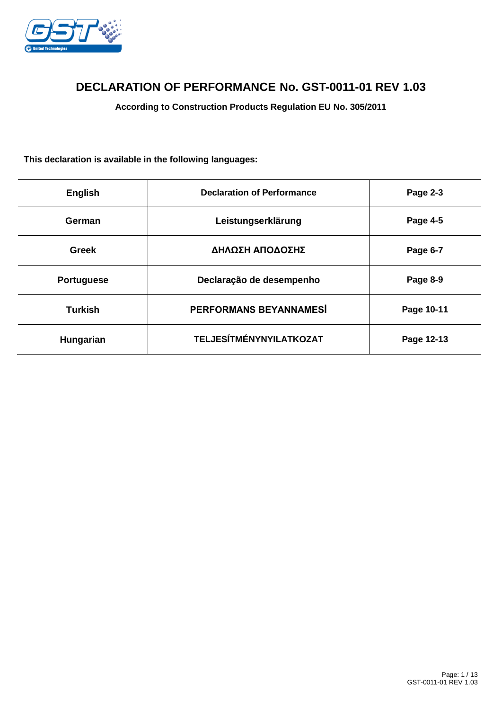

# **DECLARATION OF PERFORMANCE No. GST-0011-01 REV 1.03**

**According to Construction Products Regulation EU No. 305/2011**

## **This declaration is available in the following languages:**

| <b>English</b>    | <b>Declaration of Performance</b> | Page 2-3   |
|-------------------|-----------------------------------|------------|
| German            | Leistungserklärung                | Page 4-5   |
| <b>Greek</b>      | ΔΗΛΩΣΗ ΑΠΟΔΟΣΗΣ                   | Page 6-7   |
| <b>Portuguese</b> | Declaração de desempenho          | Page 8-9   |
| <b>Turkish</b>    | PERFORMANS BEYANNAMESİ            | Page 10-11 |
| Hungarian         | <b>TELJESÍTMÉNYNYILATKOZAT</b>    | Page 12-13 |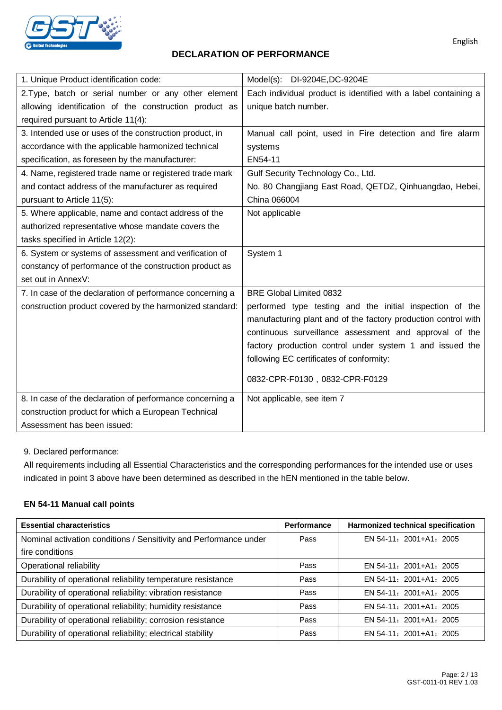

## **DECLARATION OF PERFORMANCE**

| 1. Unique Product identification code:                    | Model(s): DI-9204E, DC-9204E                                                                                                                                                                                                                                                                 |
|-----------------------------------------------------------|----------------------------------------------------------------------------------------------------------------------------------------------------------------------------------------------------------------------------------------------------------------------------------------------|
| 2. Type, batch or serial number or any other element      | Each individual product is identified with a label containing a                                                                                                                                                                                                                              |
| allowing identification of the construction product as    | unique batch number.                                                                                                                                                                                                                                                                         |
| required pursuant to Article 11(4):                       |                                                                                                                                                                                                                                                                                              |
| 3. Intended use or uses of the construction product, in   | Manual call point, used in Fire detection and fire alarm                                                                                                                                                                                                                                     |
| accordance with the applicable harmonized technical       | systems                                                                                                                                                                                                                                                                                      |
| specification, as foreseen by the manufacturer:           | EN54-11                                                                                                                                                                                                                                                                                      |
| 4. Name, registered trade name or registered trade mark   | Gulf Security Technology Co., Ltd.                                                                                                                                                                                                                                                           |
| and contact address of the manufacturer as required       | No. 80 Changjiang East Road, QETDZ, Qinhuangdao, Hebei,                                                                                                                                                                                                                                      |
| pursuant to Article 11(5):                                | China 066004                                                                                                                                                                                                                                                                                 |
| 5. Where applicable, name and contact address of the      | Not applicable                                                                                                                                                                                                                                                                               |
| authorized representative whose mandate covers the        |                                                                                                                                                                                                                                                                                              |
| tasks specified in Article 12(2):                         |                                                                                                                                                                                                                                                                                              |
| 6. System or systems of assessment and verification of    | System 1                                                                                                                                                                                                                                                                                     |
| constancy of performance of the construction product as   |                                                                                                                                                                                                                                                                                              |
| set out in AnnexV:                                        |                                                                                                                                                                                                                                                                                              |
| 7. In case of the declaration of performance concerning a | <b>BRE Global Limited 0832</b>                                                                                                                                                                                                                                                               |
| construction product covered by the harmonized standard:  | performed type testing and the initial inspection of the<br>manufacturing plant and of the factory production control with<br>continuous surveillance assessment and approval of the<br>factory production control under system 1 and issued the<br>following EC certificates of conformity: |
|                                                           | 0832-CPR-F0130, 0832-CPR-F0129                                                                                                                                                                                                                                                               |
|                                                           |                                                                                                                                                                                                                                                                                              |
| 8. In case of the declaration of performance concerning a | Not applicable, see item 7                                                                                                                                                                                                                                                                   |
| construction product for which a European Technical       |                                                                                                                                                                                                                                                                                              |
| Assessment has been issued:                               |                                                                                                                                                                                                                                                                                              |

9. Declared performance:

All requirements including all Essential Characteristics and the corresponding performances for the intended use or uses indicated in point 3 above have been determined as described in the hEN mentioned in the table below.

### **EN 54-11 Manual call points**

| <b>Essential characteristics</b>                                  | Performance | Harmonized technical specification |
|-------------------------------------------------------------------|-------------|------------------------------------|
| Nominal activation conditions / Sensitivity and Performance under | Pass        | EN 54-11: 2001+A1: 2005            |
| fire conditions                                                   |             |                                    |
| Operational reliability                                           | Pass        | EN 54-11: 2001+A1: 2005            |
| Durability of operational reliability temperature resistance      | Pass        | EN 54-11: 2001+A1: 2005            |
| Durability of operational reliability; vibration resistance       | Pass        | EN 54-11: 2001+A1: 2005            |
| Durability of operational reliability; humidity resistance        | Pass        | EN 54-11: 2001+A1: 2005            |
| Durability of operational reliability; corrosion resistance       | Pass        | EN 54-11: 2001+A1: 2005            |
| Durability of operational reliability; electrical stability       | Pass        | EN 54-11: 2001+A1: 2005            |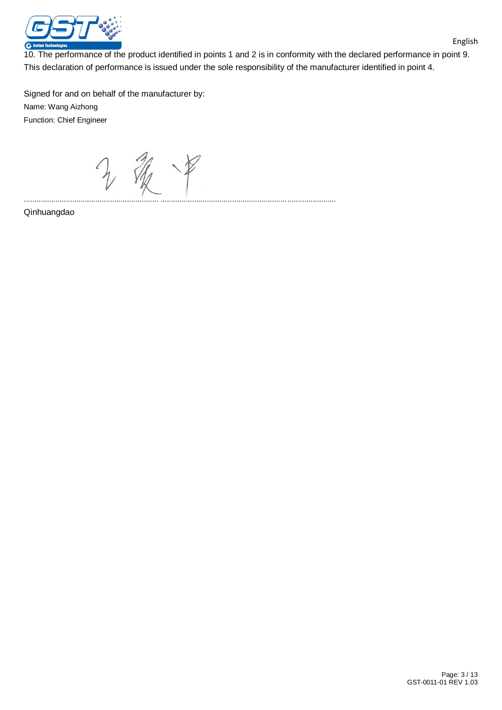

10. The performance of the product identified in points 1 and 2 is in conformity with the declared performance in point 9. This declaration of performance is issued under the sole responsibility of the manufacturer identified in point 4.

Signed for and on behalf of the manufacturer by: Name: Wang Aizhong Function: Chief Engineer

源 ................................................................ ...................................................................................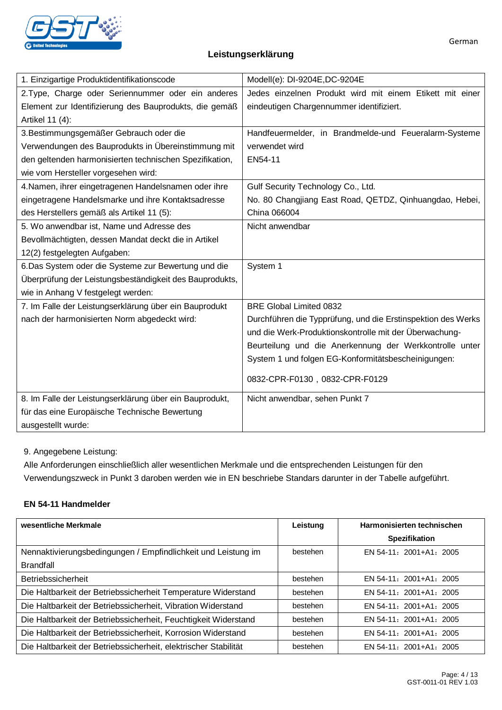

## **Leistungserklärung**

| 1. Einzigartige Produktidentifikationscode              | Modell(e): DI-9204E, DC-9204E                                |  |  |
|---------------------------------------------------------|--------------------------------------------------------------|--|--|
| 2. Type, Charge oder Seriennummer oder ein anderes      | Jedes einzelnen Produkt wird mit einem Etikett mit einer     |  |  |
| Element zur Identifizierung des Bauprodukts, die gemäß  | eindeutigen Chargennummer identifiziert.                     |  |  |
| Artikel 11 (4):                                         |                                                              |  |  |
| 3. Bestimmungsgemäßer Gebrauch oder die                 | Handfeuermelder, in Brandmelde-und Feueralarm-Systeme        |  |  |
| Verwendungen des Bauprodukts in Übereinstimmung mit     | verwendet wird                                               |  |  |
| den geltenden harmonisierten technischen Spezifikation, | EN54-11                                                      |  |  |
| wie vom Hersteller vorgesehen wird:                     |                                                              |  |  |
| 4. Namen, ihrer eingetragenen Handelsnamen oder ihre    | Gulf Security Technology Co., Ltd.                           |  |  |
| eingetragene Handelsmarke und ihre Kontaktsadresse      | No. 80 Changjiang East Road, QETDZ, Qinhuangdao, Hebei,      |  |  |
| des Herstellers gemäß als Artikel 11 (5):               | China 066004                                                 |  |  |
| 5. Wo anwendbar ist, Name und Adresse des               | Nicht anwendbar                                              |  |  |
| Bevollmächtigten, dessen Mandat deckt die in Artikel    |                                                              |  |  |
| 12(2) festgelegten Aufgaben:                            |                                                              |  |  |
| 6. Das System oder die Systeme zur Bewertung und die    | System 1                                                     |  |  |
| Überprüfung der Leistungsbeständigkeit des Bauprodukts, |                                                              |  |  |
| wie in Anhang V festgelegt werden:                      |                                                              |  |  |
| 7. Im Falle der Leistungserklärung über ein Bauprodukt  | <b>BRE Global Limited 0832</b>                               |  |  |
| nach der harmonisierten Norm abgedeckt wird:            | Durchführen die Typprüfung, und die Erstinspektion des Werks |  |  |
|                                                         | und die Werk-Produktionskontrolle mit der Überwachung-       |  |  |
|                                                         | Beurteilung und die Anerkennung der Werkkontrolle unter      |  |  |
|                                                         | System 1 und folgen EG-Konformitätsbescheinigungen:          |  |  |
|                                                         | 0832-CPR-F0130, 0832-CPR-F0129                               |  |  |
|                                                         |                                                              |  |  |
| 8. Im Falle der Leistungserklärung über ein Bauprodukt, | Nicht anwendbar, sehen Punkt 7                               |  |  |
| für das eine Europäische Technische Bewertung           |                                                              |  |  |
| ausgestellt wurde:                                      |                                                              |  |  |

9. Angegebene Leistung:

Alle Anforderungen einschließlich aller wesentlichen Merkmale und die entsprechenden Leistungen für den Verwendungszweck in Punkt 3 daroben werden wie in EN beschriebe Standars darunter in der Tabelle aufgeführt.

## **EN 54-11 Handmelder**

| wesentliche Merkmale                                            | Leistung | Harmonisierten technischen |
|-----------------------------------------------------------------|----------|----------------------------|
|                                                                 |          | <b>Spezifikation</b>       |
| Nennaktivierungsbedingungen / Empfindlichkeit und Leistung im   | bestehen | EN 54-11: 2001+A1: 2005    |
| <b>Brandfall</b>                                                |          |                            |
| <b>Betriebssicherheit</b>                                       | bestehen | EN 54-11: 2001+A1: 2005    |
| Die Haltbarkeit der Betriebssicherheit Temperature Widerstand   | bestehen | EN 54-11: 2001+A1: 2005    |
| Die Haltbarkeit der Betriebssicherheit, Vibration Widerstand    | bestehen | EN 54-11: 2001+A1: 2005    |
| Die Haltbarkeit der Betriebssicherheit, Feuchtigkeit Widerstand | bestehen | EN 54-11: 2001+A1: 2005    |
| Die Haltbarkeit der Betriebssicherheit, Korrosion Widerstand    | bestehen | EN 54-11: 2001+A1: 2005    |
| Die Haltbarkeit der Betriebssicherheit, elektrischer Stabilität | bestehen | EN 54-11: 2001+A1: 2005    |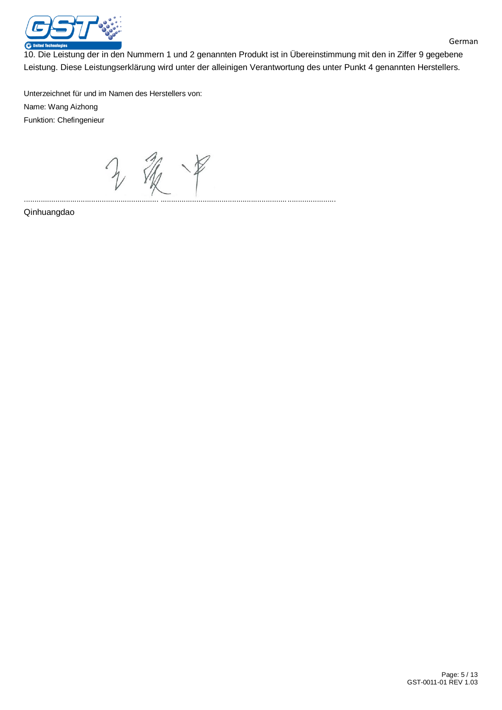

10. Die Leistung der in den Nummern 1 und 2 genannten Produkt ist in Übereinstimmung mit den in Ziffer 9 gegebene Leistung. Diese Leistungserklärung wird unter der alleinigen Verantwortung des unter Punkt 4 genannten Herstellers.

Unterzeichnet für und im Namen des Herstellers von: Name: Wang Aizhong Funktion: Chefingenieur

2 银甲 ................................................................ ...................................................................................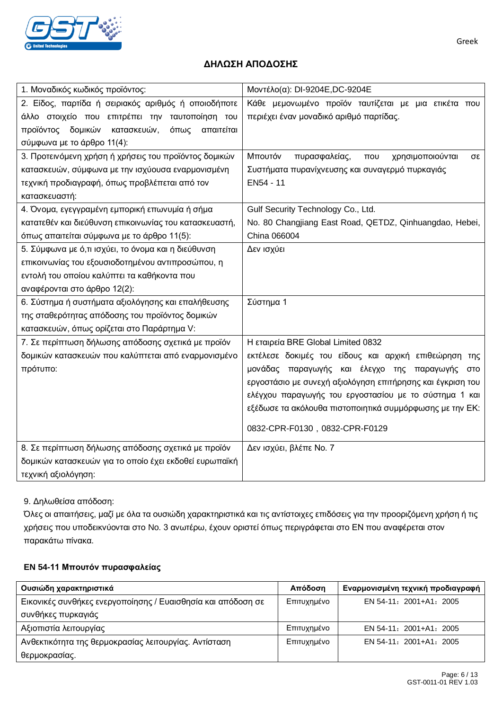

## **ΔΗΛΩΣΗ ΑΠΟΔΟΣΗΣ**

| 1. Μοναδικός κωδικός προϊόντος:                        | Μοντέλο(α): DI-9204E, DC-9204E                                 |  |
|--------------------------------------------------------|----------------------------------------------------------------|--|
| 2. Είδος, παρτίδα ή σειριακός αριθμός ή οποιοδήποτε    | Κάθε μεμονωμένο προϊόν ταυτίζεται με μια ετικέτα που           |  |
| άλλο στοιχείο που επιτρέπει την ταυτοποίηση του        | περιέχει έναν μοναδικό αριθμό παρτίδας.                        |  |
| προϊόντος δομικών<br>κατασκευών,<br>όπως<br>απαιτείται |                                                                |  |
| σύμφωνα με το άρθρο 11(4):                             |                                                                |  |
| 3. Προτεινόμενη χρήση ή χρήσεις του προϊόντος δομικών  | Μπουτόν<br>πυρασφαλείας,<br>χρησιμοποιούνται<br>$\pi$ ou<br>σε |  |
| κατασκευών, σύμφωνα με την ισχύουσα εναρμονισμένη      | Συστήματα πυρανίχνευσης και συναγερμό πυρκαγιάς                |  |
| τεχνική προδιαγραφή, όπως προβλέπεται από τον          | EN54 - 11                                                      |  |
| κατασκευαστή:                                          |                                                                |  |
| 4. Όνομα, εγεγγραμένη εμπορική επωνυμία ή σήμα         | Gulf Security Technology Co., Ltd.                             |  |
| κατατεθέν και διεύθυνση επικοινωνίας του κατασκευαστή, | No. 80 Changjiang East Road, QETDZ, Qinhuangdao, Hebei,        |  |
| όπως απαιτείται σύμφωνα με το άρθρο 11(5):             | China 066004                                                   |  |
| 5. Σύμφωνα με ό,τι ισχύει, το όνομα και η διεύθυνση    | Δεν ισχύει                                                     |  |
| επικοινωνίας του εξουσιοδοτημένου αντιπροσώπου, η      |                                                                |  |
| εντολή του οποίου καλύπτει τα καθήκοντα που            |                                                                |  |
| αναφέρονται στο άρθρο 12(2):                           |                                                                |  |
| 6. Σύστημα ή συστήματα αξιολόγησης και επαλήθευσης     | Σύστημα 1                                                      |  |
| της σταθερότητας απόδοσης του προϊόντος δομικών        |                                                                |  |
| κατασκευών, όπως ορίζεται στο Παράρτημα V:             |                                                                |  |
| 7. Σε περίπτωση δήλωσης απόδοσης σχετικά με προϊόν     | Η εταιρεία BRE Global Limited 0832                             |  |
| δομικών κατασκευών που καλύπτεται από εναρμονισμένο    | εκτέλεσε δοκιμές του είδους και αρχική επιθεώρηση<br>της       |  |
| πρότυπο:                                               | μονάδας παραγωγής και έλεγχο της παραγωγής<br>στo              |  |
|                                                        | εργοστάσιο με συνεχή αξιολόγηση επιτήρησης και έγκριση του     |  |
|                                                        | ελέγχου παραγωγής του εργοστασίου με το σύστημα 1 και          |  |
|                                                        | εξέδωσε τα ακόλουθα πιστοποιητικά συμμόρφωσης με την ΕΚ:       |  |
|                                                        | 0832-CPR-F0130, 0832-CPR-F0129                                 |  |
| 8. Σε περίπτωση δήλωσης απόδοσης σχετικά με προϊόν     | Δεν ισχύει, βλέπε Νο. 7                                        |  |
| δομικών κατασκευών για το οποίο έχει εκδοθεί ευρωπαϊκή |                                                                |  |
| τεχνική αξιολόγηση:                                    |                                                                |  |

#### 9. Δηλωθείσα απόδοση:

Όλες οι απαιτήσεις, μαζί με όλα τα ουσιώδη χαρακτηριστικά και τις αντίστοιχες επιδόσεις για την προοριζόμενη χρήση ή τις χρήσεις που υποδεικνύονται στο No. 3 ανωτέρω, έχουν οριστεί όπως περιγράφεται στο ΕΝ που αναφέρεται στον παρακάτω πίνακα.

#### **EN 54-11 Μπουτόν πυρασφαλείας**

| Ουσιώδη χαρακτηριστικά                                       | Απόδοση     | Εναρμονισμένη τεχνική προδιαγραφή |
|--------------------------------------------------------------|-------------|-----------------------------------|
| Εικονικές συνθήκες ενεργοποίησης / Ευαισθησία και απόδοση σε | Επιτυχημένο | EN 54-11: 2001+A1: 2005           |
| συνθήκες πυρκαγιάς                                           |             |                                   |
| Αξιοπιστία λειτουργίας                                       | Επιτυχημένο | EN 54-11: 2001+A1: 2005           |
| Ανθεκτικότητα της θερμοκρασίας λειτουργίας. Αντίσταση        | Επιτυχημένο | EN 54-11: 2001+A1: 2005           |
| θερμοκρασίας.                                                |             |                                   |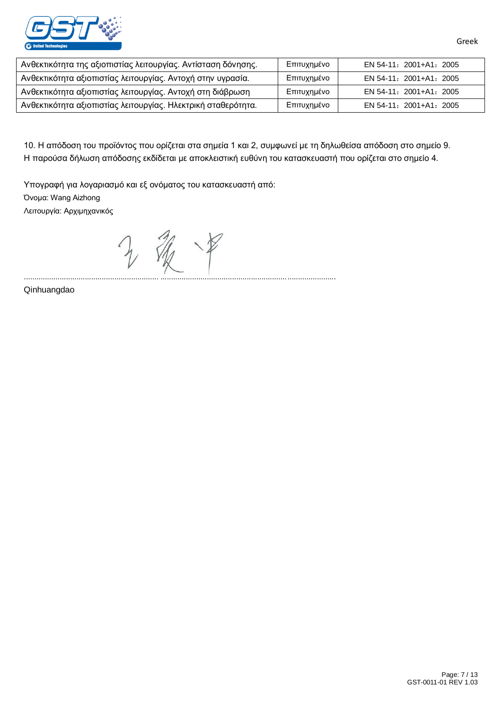

| Ανθεκτικότητα της αξιοπιστίας λειτουργίας. Αντίσταση δόνησης. | Επιτυχημένο | EN 54-11: 2001+A1: 2005 |
|---------------------------------------------------------------|-------------|-------------------------|
| Ανθεκτικότητα αξιοπιστίας λειτουργίας. Αντοχή στην υγρασία.   | Επιτυχημένο | EN 54-11: 2001+A1: 2005 |
| Ανθεκτικότητα αξιοπιστίας λειτουργίας. Αντοχή στη διάβρωση    | Επιτυχημένο | EN 54-11: 2001+A1: 2005 |
| Ανθεκτικότητα αξιοπιστίας λειτουργίας. Ηλεκτρική σταθερότητα. | Επιτυχημένο | EN 54-11: 2001+A1: 2005 |

10. Η απόδοση του προϊόντος που ορίζεται στα σημεία 1 και 2, συμφωνεί με τη δηλωθείσα απόδοση στο σημείο 9. Η παρούσα δήλωση απόδοσης εκδίδεται με αποκλειστική ευθύνη του κατασκευαστή που ορίζεται στο σημείο 4.

................................................................ ...................................................................................

Υπογραφή για λογαριασμό και εξ ονόματος του κατασκευαστή από: Όνομα: Wang Aizhong Λειτουργία: Αρχιμηχανικός

中

Qinhuangdao

Greek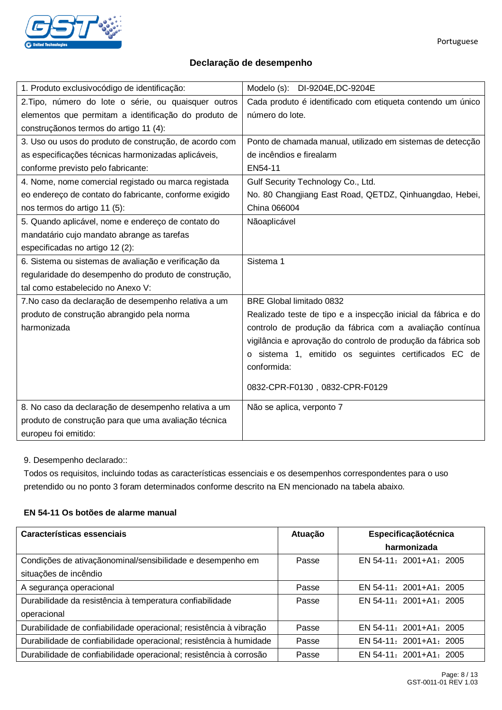

## **Declaração de desempenho**

| 1. Produto exclusivocódigo de identificação:           | Modelo (s): DI-9204E, DC-9204E                                |
|--------------------------------------------------------|---------------------------------------------------------------|
| 2. Tipo, número do lote o série, ou quaisquer outros   | Cada produto é identificado com etiqueta contendo um único    |
| elementos que permitam a identificação do produto de   | número do lote.                                               |
| construçãonos termos do artigo 11 (4):                 |                                                               |
| 3. Uso ou usos do produto de construção, de acordo com | Ponto de chamada manual, utilizado em sistemas de detecção    |
| as especificações técnicas harmonizadas aplicáveis,    | de incêndios e firealarm                                      |
| conforme previsto pelo fabricante:                     | EN54-11                                                       |
| 4. Nome, nome comercial registado ou marca registada   | Gulf Security Technology Co., Ltd.                            |
| eo endereço de contato do fabricante, conforme exigido | No. 80 Changjiang East Road, QETDZ, Qinhuangdao, Hebei,       |
| nos termos do artigo 11 (5):                           | China 066004                                                  |
| 5. Quando aplicável, nome e endereço de contato do     | Nãoaplicável                                                  |
| mandatário cujo mandato abrange as tarefas             |                                                               |
| especificadas no artigo 12 (2):                        |                                                               |
| 6. Sistema ou sistemas de avaliação e verificação da   | Sistema 1                                                     |
| regularidade do desempenho do produto de construção,   |                                                               |
| tal como estabelecido no Anexo V:                      |                                                               |
| 7. No caso da declaração de desempenho relativa a um   | BRE Global limitado 0832                                      |
| produto de construção abrangido pela norma             | Realizado teste de tipo e a inspecção inicial da fábrica e do |
| harmonizada                                            | controlo de produção da fábrica com a avaliação contínua      |
|                                                        | vigilância e aprovação do controlo de produção da fábrica sob |
|                                                        | o sistema 1, emitido os seguintes certificados EC de          |
|                                                        | conformida:                                                   |
|                                                        |                                                               |
|                                                        | 0832-CPR-F0130, 0832-CPR-F0129                                |
| 8. No caso da declaração de desempenho relativa a um   | Não se aplica, verponto 7                                     |
| produto de construção para que uma avaliação técnica   |                                                               |
| europeu foi emitido:                                   |                                                               |

9. Desempenho declarado::

Todos os requisitos, incluindo todas as características essenciais e os desempenhos correspondentes para o uso pretendido ou no ponto 3 foram determinados conforme descrito na EN mencionado na tabela abaixo.

## **EN 54-11 Os botões de alarme manual**

| Características essenciais                                         | Atuação | Especificaçãotécnica      |
|--------------------------------------------------------------------|---------|---------------------------|
|                                                                    |         | harmonizada               |
| Condições de ativaçãonominal/sensibilidade e desempenho em         | Passe   | $EN$ 54-11: 2001+A1: 2005 |
| situações de incêndio                                              |         |                           |
| A segurança operacional                                            | Passe   | EN 54-11: 2001+A1: 2005   |
| Durabilidade da resistência à temperatura confiabilidade           | Passe   | $EN$ 54-11: 2001+A1: 2005 |
| operacional                                                        |         |                           |
| Durabilidade de confiabilidade operacional; resistência à vibração | Passe   | EN 54-11: 2001+A1: 2005   |
| Durabilidade de confiabilidade operacional; resistência à humidade | Passe   | EN 54-11: 2001+A1: 2005   |
| Durabilidade de confiabilidade operacional; resistência à corrosão | Passe   | EN 54-11: 2001+A1: 2005   |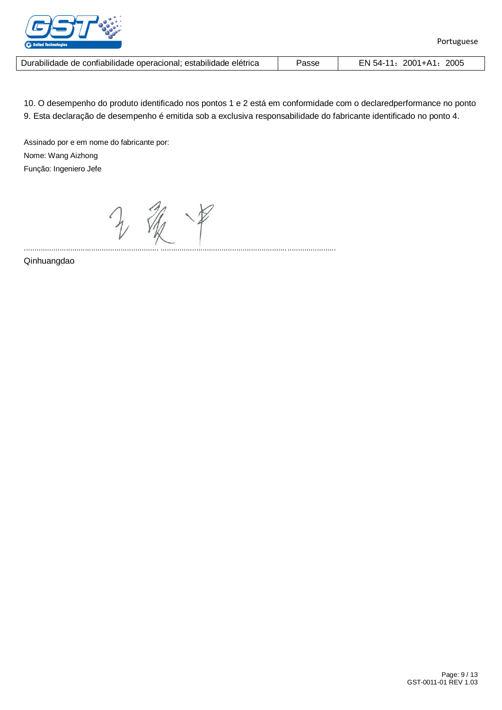

| Durabilidade de confiabilidade operacional; estabilidade elétrica | Passe | EN 54-11: 2001+A1: 2005 |
|-------------------------------------------------------------------|-------|-------------------------|
|-------------------------------------------------------------------|-------|-------------------------|

10. O desempenho do produto identificado nos pontos 1 e 2 está em conformidade com o declaredperformance no ponto 9. Esta declaração de desempenho é emitida sob a exclusiva responsabilidade do fabricante identificado no ponto 4.

Assinado por e em nome do fabricante por: Nome: Wang Aizhong Função: Ingeniero Jefe

源 年

................................................................ ...................................................................................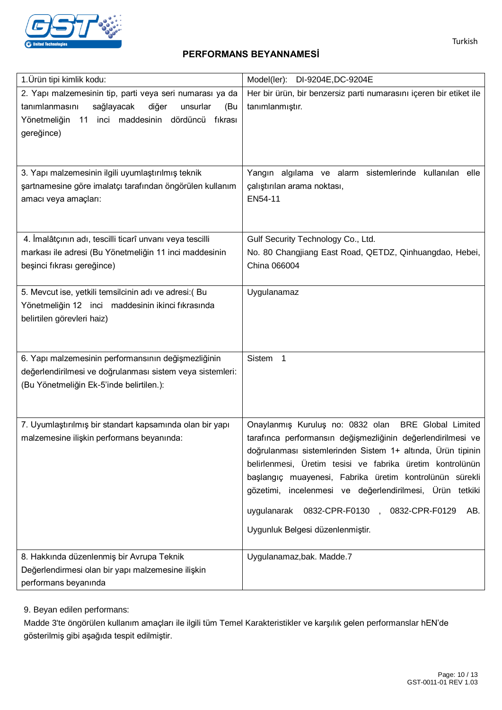

## **PERFORMANS BEYANNAMESİ**

| 1. Ürün tipi kimlik kodu:                                 | Model(ler): DI-9204E, DC-9204E                                     |
|-----------------------------------------------------------|--------------------------------------------------------------------|
| 2. Yapı malzemesinin tip, parti veya seri numarası ya da  | Her bir ürün, bir benzersiz parti numarasını içeren bir etiket ile |
| sağlayacak<br>diğer<br>tanımlanmasını<br>unsurlar<br>(Bu  | tanımlanmıştır.                                                    |
| 11 inci maddesinin dördüncü<br>Yönetmeliğin<br>fıkrası    |                                                                    |
| gereğince)                                                |                                                                    |
|                                                           |                                                                    |
|                                                           |                                                                    |
| 3. Yapı malzemesinin ilgili uyumlaştırılmış teknik        | Yangın algılama ve alarm sistemlerinde kullanılan elle             |
| şartnamesine göre imalatçı tarafından öngörülen kullanım  | çalıştırılan arama noktası,                                        |
| amacı veya amaçları:                                      | EN54-11                                                            |
|                                                           |                                                                    |
| 4. İmalâtçının adı, tescilli ticarî unvanı veya tescilli  | Gulf Security Technology Co., Ltd.                                 |
| markası ile adresi (Bu Yönetmeliğin 11 inci maddesinin    | No. 80 Changjiang East Road, QETDZ, Qinhuangdao, Hebei,            |
| beşinci fıkrası gereğince)                                | China 066004                                                       |
|                                                           |                                                                    |
| 5. Mevcut ise, yetkili temsilcinin adı ve adresi: (Bu     | Uygulanamaz                                                        |
| Yönetmeliğin 12 inci maddesinin ikinci fıkrasında         |                                                                    |
| belirtilen görevleri haiz)                                |                                                                    |
|                                                           |                                                                    |
|                                                           |                                                                    |
| 6. Yapı malzemesinin performansının değişmezliğinin       | Sistem <sub>1</sub>                                                |
| değerlendirilmesi ve doğrulanması sistem veya sistemleri: |                                                                    |
| (Bu Yönetmeliğin Ek-5'inde belirtilen.):                  |                                                                    |
|                                                           |                                                                    |
| 7. Uyumlaştırılmış bir standart kapsamında olan bir yapı  | Onaylanmış Kuruluş no: 0832 olan<br><b>BRE</b> Global Limited      |
| malzemesine ilişkin performans beyanında:                 | tarafınca performansın değişmezliğinin değerlendirilmesi ve        |
|                                                           | doğrulanması sistemlerinden Sistem 1+ altında, Ürün tipinin        |
|                                                           | belirlenmesi, Üretim tesisi ve fabrika üretim kontrolünün          |
|                                                           | başlangıç muayenesi, Fabrika üretim kontrolünün sürekli            |
|                                                           | gözetimi, incelenmesi ve değerlendirilmesi, Ürün tetkiki           |
|                                                           | 0832-CPR-F0130, 0832-CPR-F0129<br>AB.<br>uygulanarak               |
|                                                           | Uygunluk Belgesi düzenlenmiştir.                                   |
|                                                           |                                                                    |
| 8. Hakkında düzenlenmiş bir Avrupa Teknik                 | Uygulanamaz, bak. Madde.7                                          |
| Değerlendirmesi olan bir yapı malzemesine ilişkin         |                                                                    |
| performans beyanında                                      |                                                                    |

9. Beyan edilen performans:

Madde 3'te öngörülen kullanım amaçları ile ilgili tüm Temel Karakteristikler ve karşılık gelen performanslar hEN'de gösterilmiş gibi aşağıda tespit edilmiştir.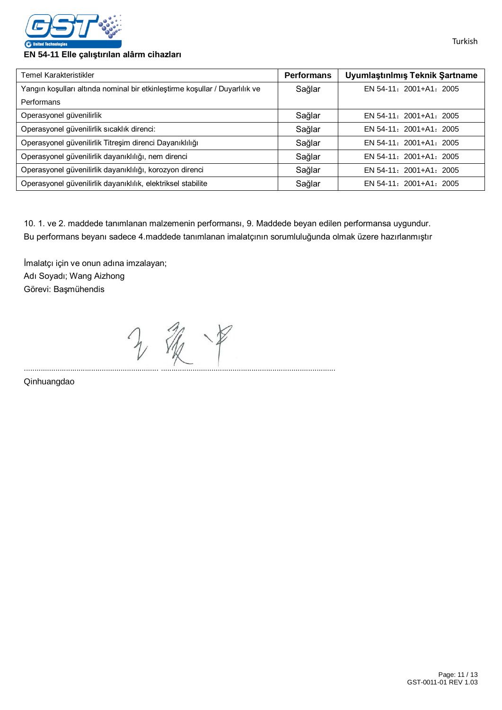

#### **EN 54-11 Elle çalıştırılan alârm cihazları**

| Temel Karakteristikler                                                      | <b>Performans</b> | Uyumlaştınlmış Teknik Şartname |
|-----------------------------------------------------------------------------|-------------------|--------------------------------|
| Yangın koşulları altında nominal bir etkinleştirme koşullar / Duyarlılık ve | Sağlar            | EN 54-11: 2001+A1: 2005        |
| Performans                                                                  |                   |                                |
| Operasyonel güvenilirlik                                                    | Sağlar            | EN 54-11: 2001+A1: 2005        |
| Operasyonel güvenilirlik sıcaklık direnci:                                  | Sağlar            | EN 54-11: 2001+A1: 2005        |
| Operasyonel güvenilirlik Titreşim direnci Dayanıklılığı                     | Sağlar            | EN 54-11: 2001+A1: 2005        |
| Operasyonel güvenilirlik dayanıklılığı, nem direnci                         | Sağlar            | EN 54-11: 2001+A1: 2005        |
| Operasyonel güvenilirlik dayanıklılığı, korozyon direnci                    | Sağlar            | EN 54-11: 2001+A1: 2005        |
| Operasyonel güvenilirlik dayanıklılık, elektriksel stabilite                | Sağlar            | EN 54-11: 2001+A1: 2005        |

10. 1. ve 2. maddede tanımlanan malzemenin performansı, 9. Maddede beyan edilen performansa uygundur. Bu performans beyanı sadece 4.maddede tanımlanan imalatçının sorumluluğunda olmak üzere hazırlanmıştır

İmalatçı için ve onun adına imzalayan; Adı Soyadı; Wang Aizhong Görevi: Başmühendis

2 银甲 ................................................................ ...................................................................................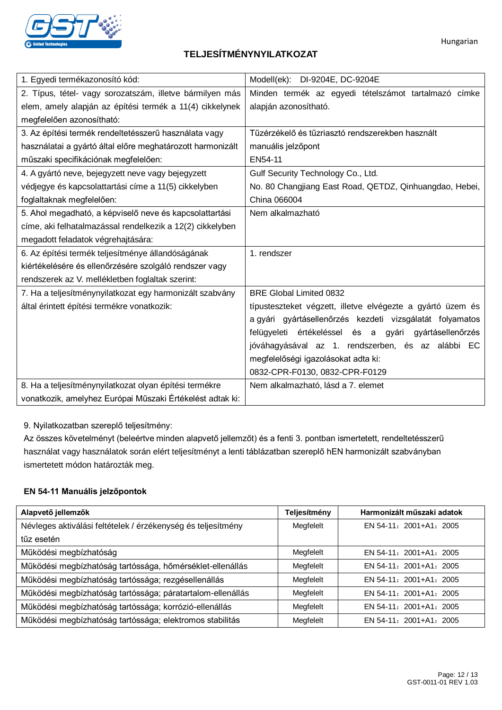

## **TELJESÍTMÉNYNYILATKOZAT**

| 1. Egyedi termékazonosító kód:                             | Modell(ek): DI-9204E, DC-9204E                             |  |  |
|------------------------------------------------------------|------------------------------------------------------------|--|--|
| 2. Típus, tétel- vagy sorozatszám, illetve bármilyen más   | Minden termék az egyedi tételszámot tartalmazó címke       |  |  |
| elem, amely alapján az építési termék a 11(4) cikkelynek   | alapján azonosítható.                                      |  |  |
| megfelelően azonosítható:                                  |                                                            |  |  |
| 3. Az építési termék rendeltetésszerű használata vagy      | Tűzérzékelő és tűzriasztó rendszerekben használt           |  |  |
| használatai a gyártó által előre meghatározott harmonizált | manuális jelzőpont                                         |  |  |
| műszaki specifikációnak megfelelően:                       | EN54-11                                                    |  |  |
| 4. A gyártó neve, bejegyzett neve vagy bejegyzett          | Gulf Security Technology Co., Ltd.                         |  |  |
| védjegye és kapcsolattartási címe a 11(5) cikkelyben       | No. 80 Changjiang East Road, QETDZ, Qinhuangdao, Hebei,    |  |  |
| foglaltaknak megfelelően:                                  | China 066004                                               |  |  |
| 5. Ahol megadható, a képviselő neve és kapcsolattartási    | Nem alkalmazható                                           |  |  |
| címe, aki felhatalmazással rendelkezik a 12(2) cikkelyben  |                                                            |  |  |
| megadott feladatok végrehajtására:                         |                                                            |  |  |
| 6. Az építési termék teljesítménye állandóságának          | 1. rendszer                                                |  |  |
| kiértékelésére és ellenőrzésére szolgáló rendszer vagy     |                                                            |  |  |
| rendszerek az V. mellékletben foglaltak szerint:           |                                                            |  |  |
| 7. Ha a teljesítménynyilatkozat egy harmonizált szabvány   | <b>BRE Global Limited 0832</b>                             |  |  |
| által érintett építési termékre vonatkozik:                | típusteszteket végzett, illetve elvégezte a gyártó üzem és |  |  |
|                                                            | a gyári gyártásellenőrzés kezdeti vizsgálatát folyamatos   |  |  |
|                                                            | felügyeleti értékeléssel és a gyári gyártásellenőrzés      |  |  |
|                                                            | jóváhagyásával az 1. rendszerben, és az alábbi EC          |  |  |
|                                                            | megfelelőségi igazolásokat adta ki:                        |  |  |
|                                                            | 0832-CPR-F0130, 0832-CPR-F0129                             |  |  |
| 8. Ha a teljesítménynyilatkozat olyan építési termékre     | Nem alkalmazható, lásd a 7. elemet                         |  |  |
| vonatkozik, amelyhez Európai Műszaki Értékelést adtak ki:  |                                                            |  |  |

9. Nyilatkozatban szereplő teljesítmény:

Az összes követelményt (beleértve minden alapvető jellemzőt) és a fenti 3. pontban ismertetett, rendeltetésszerű használat vagy használatok során elért teljesítményt a lenti táblázatban szereplő hEN harmonizált szabványban ismertetett módon határozták meg.

### **EN 54-11 Manuális jelzőpontok**

| Alapvető jellemzők                                           | Teljesítmény | Harmonizált műszaki adatok |
|--------------------------------------------------------------|--------------|----------------------------|
| Névleges aktiválási feltételek / érzékenység és teljesítmény | Megfelelt    | EN 54-11: 2001+A1: 2005    |
| tűz esetén                                                   |              |                            |
| Működési megbízhatóság                                       | Megfelelt    | EN 54-11: 2001+A1: 2005    |
| Működési megbízhatóság tartóssága, hőmérséklet-ellenállás    | Megfelelt    | EN 54-11: 2001+A1: 2005    |
| Működési megbízhatóság tartóssága; rezgésellenállás          | Megfelelt    | EN 54-11: 2001+A1: 2005    |
| Működési megbízhatóság tartóssága; páratartalom-ellenállás   | Megfelelt    | EN 54-11: 2001+A1: 2005    |
| Működési megbízhatóság tartóssága; korrózió-ellenállás       | Megfelelt    | EN 54-11: 2001+A1: 2005    |
| Működési megbízhatóság tartóssága; elektromos stabilitás     | Megfelelt    | EN 54-11: 2001+A1: 2005    |